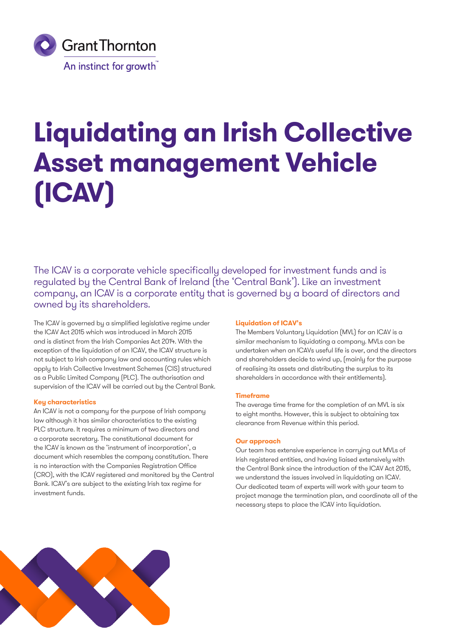

# **Liquidating an Irish Collective Asset management Vehicle (ICAV)**

The ICAV is a corporate vehicle specifically developed for investment funds and is regulated by the Central Bank of Ireland (the 'Central Bank'). Like an investment company, an ICAV is a corporate entity that is governed by a board of directors and owned by its shareholders.

The ICAV is governed by a simplified legislative regime under the ICAV Act 2015 which was introduced in March 2015 and is distinct from the Irish Companies Act 2014. With the exception of the liquidation of an ICAV, the ICAV structure is not subject to Irish company law and accounting rules which apply to Irish Collective Investment Schemes (CIS) structured as a Public Limited Company (PLC). The authorisation and supervision of the ICAV will be carried out by the Central Bank.

## **Key characteristics**

An ICAV is not a company for the purpose of Irish company law although it has similar characteristics to the existing PLC structure. It requires a minimum of two directors and a corporate secretary. The constitutional document for the ICAV is known as the 'instrument of incorporation', a document which resembles the company constitution. There is no interaction with the Companies Registration Office (CRO), with the ICAV registered and monitored by the Central Bank. ICAV's are subject to the existing Irish tax regime for investment funds.

## **Liquidation of ICAV's**

The Members Voluntary Liquidation (MVL) for an ICAV is a similar mechanism to liquidating a company. MVLs can be undertaken when an ICAVs useful life is over, and the directors and shareholders decide to wind up, (mainly for the purpose of realising its assets and distributing the surplus to its shareholders in accordance with their entitlements).

## **Timeframe**

The average time frame for the completion of an MVL is six to eight months. However, this is subject to obtaining tax clearance from Revenue within this period.

## **Our approach**

Our team has extensive experience in carrying out MVLs of Irish registered entities, and having liaised extensively with the Central Bank since the introduction of the ICAV Act 2015, we understand the issues involved in liquidating an ICAV. Our dedicated team of experts will work with your team to project manage the termination plan, and coordinate all of the necessary steps to place the ICAV into liquidation.